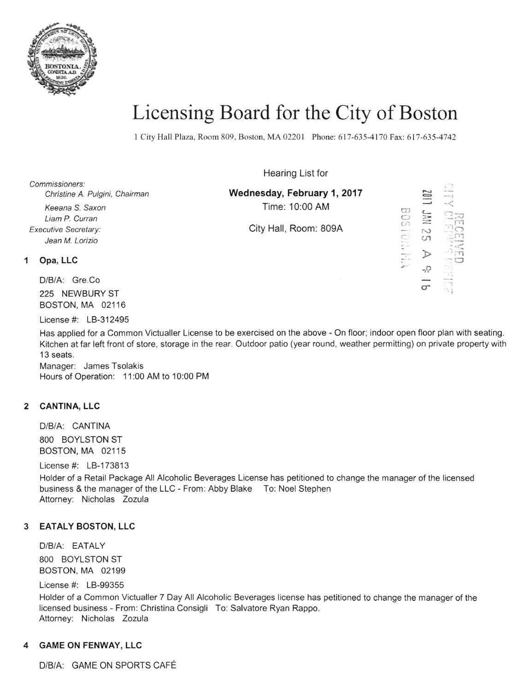

# Licensing Board for the City of Boston

1 City Hall Plaza, Room 809, Boston, MA 02201 Phone: 617-635-4170 Fax: 617-635-4742

Hearing List for

 $\frac{1}{\sigma}$ 

| Commissioners:<br>Christine A. Pulgini, Chairman | Wednesday, February 1, 2017 |                                                         | Z                       | <b>MAY LINKING</b><br>MANTPUH |
|--------------------------------------------------|-----------------------------|---------------------------------------------------------|-------------------------|-------------------------------|
| Keeana S. Saxon<br>Liam P. Curran                | Time: 10:00 AM              |                                                         |                         | mount                         |
| <b>Executive Secretary:</b><br>Jean M. Lorizio   | City Hall, Room: 809A       | $C^{m}$<br>$4 - 12$<br>$E_{\text{max}}$                 | z<br>$\sim$<br>$\sigma$ |                               |
| Opa, LLC                                         |                             | $\rightarrow$<br><b>MOTOR</b> CLUB<br><b>Mark</b><br>تذ |                         |                               |

D/B/A: Gre.Co 225 NEWBURY ST BOSTON, MA 02116

License #: LB-312495

Has applied for a Common Victualler License to be exercised on the above - On floor; indoor open floor plan with seating. Kitchen at far left front of store, storage in the rear. Outdoor patio (year round, weather permitting) on private property with 13 seats.

Manager: James Tsolakis Hours of Operation: 11:00 AM to 10:00 PM

## 2 CANTINA, LLC

D/B/A: CANTINA 8OO BOYLSTON ST BOSTON, MA 02115

License #: LB-173813

Holder of a Retail Package All Alcoholic Beverages License has petitioned to change the manager of the licensed business & the manager of the LLC - From: Abby Blake To: Noel Stephen Attorney: Nicholas Zozula

## 3 EATALY BOSTON, LLC

D/B/A: EATALY 8OO BOYLSTON ST BOSTON, MA 02199

License #: LB-99355

Holder of a Common Victualler 7 Day All Alcoholic Beverages license has petitioned to change the manager of the licensed business - From: Christina Consigli To: Salvatore Ryan Rappo. Attorney: Nicholas Zozula

#### 4 GAME ON FENWAY, LLC

D/B/A: GAME ON SPORTS CAFE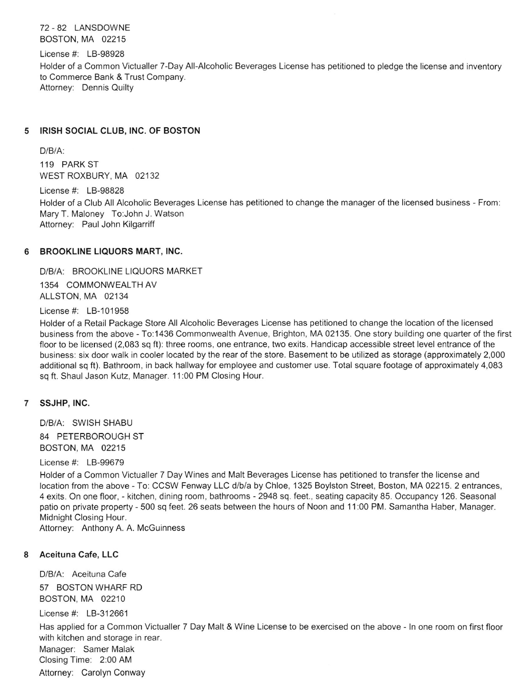<sup>72</sup>- 82 LANSDOWNE BOSTON, MA 02215

License #: LB-98928

Holder of a Common Victualler 7-Day All-Alcoholic Beverages License has petitioned to pledge the license and inventory to Commerce Bank & Trust Company. Attorney: Dennis Quilty

#### 5 IRISH SOCIAL CLUB, INC. OF BOSTON

DIBIA:

119 PARK ST WEST ROXBURY, MA 02132

License #: LB-98828

Holder of a Club All Alcoholic Beverages License has petitioned to change the manager of the licensed business - From: Mary T. Maloney To:John J. Watson Attorney: Paul John Kilgarriff

### 6 BROOKLINE LIQUORS MART, INC.

D/B/A: BROOKLINE LIOUORS MARKET

1354 COMMONWEALTH AV ALLSTON, MA 02134

License #: LB-101958

Holder of a Retail Package Store All Alcoholic Beverages License has petitioned to change the location of the licensed business from the above - To:1436 Commonwealth Avenue, Brighton, MA 02135. One story building one quarter of the first floor to be licensed (2,083 sq ft): three rooms, one entrance, two exits. Handicap accessible street level entrance of the business: six door walk in cooler located by the rear of the store. Basement to be utilized as storage (approximately 2,000 additional sq ft). Bathroom, in back hallway for employee and customer use. Total square footage of approximately 4,083 sq ft. Shaul Jason Kutz, Manager. 11:00 PM Closing Hour.

#### 7 SSJHP, INC.

D/B/A: SWISH SHABU 84 PETERBOROUGH ST BOSTON, MA 02215

License #: LB-99679

Holder of a Common Victualler 7 Day Wines and Malt Beverages License has petitioned to transfer the license and location from the above - To: CCSW Fenway LLC d/b/a by Chloe, 1325 Boylston Streel, Boston, MA 02215. 2 entrances, 4 exits. On one floor, - kitchen, dining room, bathrooms - 2948 sq. feet., seating capacity 85. Occupancy 126. Seasonal patio on private property - 500 sq feet. 26 seats between the hours of Noon and 11 :00 PM. Samantha Haber, Manager. Midnight Closing Hour.

Attorney: Anthony A. A. McGuinness

#### 8 Aceituna Cafe, LLC

D/B/A: Aceituna Cafe 57 BOSTON WHARF RD BOSTON, MA 02210

License #: LB-312661

Has applied for a Common Victualler 7 Day Malt & Wine License to be exercised on the above - ln one room on first floor with kitchen and storage in rear.

Manager: Samer Malak Closing Time: 2:00 AM Attorney: Carolyn Conway